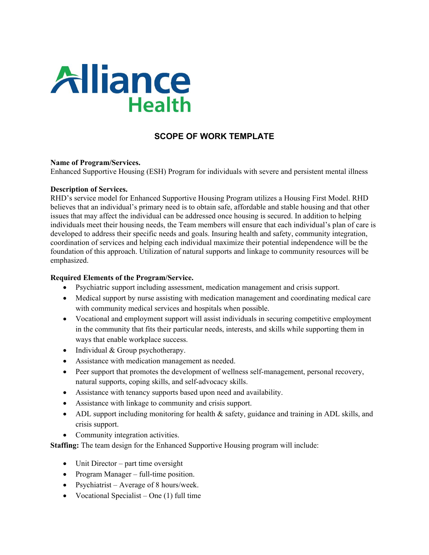

# **SCOPE OF WORK TEMPLATE**

#### **Name of Program/Services.**

Enhanced Supportive Housing (ESH) Program for individuals with severe and persistent mental illness

#### **Description of Services.**

RHD's service model for Enhanced Supportive Housing Program utilizes a Housing First Model. RHD believes that an individual's primary need is to obtain safe, affordable and stable housing and that other issues that may affect the individual can be addressed once housing is secured. In addition to helping individuals meet their housing needs, the Team members will ensure that each individual's plan of care is developed to address their specific needs and goals. Insuring health and safety, community integration, coordination of services and helping each individual maximize their potential independence will be the foundation of this approach. Utilization of natural supports and linkage to community resources will be emphasized.

### **Required Elements of the Program/Service.**

- Psychiatric support including assessment, medication management and crisis support.
- Medical support by nurse assisting with medication management and coordinating medical care with community medical services and hospitals when possible.
- Vocational and employment support will assist individuals in securing competitive employment in the community that fits their particular needs, interests, and skills while supporting them in ways that enable workplace success.
- Individual & Group psychotherapy.
- Assistance with medication management as needed.
- Peer support that promotes the development of wellness self-management, personal recovery, natural supports, coping skills, and self-advocacy skills.
- Assistance with tenancy supports based upon need and availability.
- Assistance with linkage to community and crisis support.
- ADL support including monitoring for health & safety, guidance and training in ADL skills, and crisis support.
- Community integration activities.

**Staffing:** The team design for the Enhanced Supportive Housing program will include:

- Unit Director part time oversight
- Program Manager full-time position.
- Psychiatrist Average of 8 hours/week.
- Vocational Specialist One  $(1)$  full time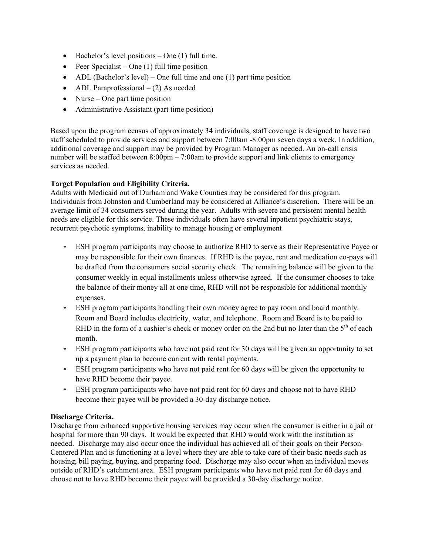- Bachelor's level positions  $-$  One (1) full time.
- Peer Specialist One  $(1)$  full time position
- ADL (Bachelor's level) One full time and one (1) part time position
- ADL Paraprofessional  $-$  (2) As needed
- Nurse One part time position
- Administrative Assistant (part time position)

Based upon the program census of approximately 34 individuals, staff coverage is designed to have two staff scheduled to provide services and support between 7:00am -8:00pm seven days a week. In addition, additional coverage and support may be provided by Program Manager as needed. An on-call crisis number will be staffed between  $8:00 \text{pm} - 7:00 \text{am}$  to provide support and link clients to emergency services as needed.

### **Target Population and Eligibility Criteria.**

Adults with Medicaid out of Durham and Wake Counties may be considered for this program. Individuals from Johnston and Cumberland may be considered at Alliance's discretion. There will be an average limit of 34 consumers served during the year. Adults with severe and persistent mental health needs are eligible for this service. These individuals often have several inpatient psychiatric stays, recurrent psychotic symptoms, inability to manage housing or employment

- ESH program participants may choose to authorize RHD to serve as their Representative Payee or may be responsible for their own finances. If RHD is the payee, rent and medication co-pays will be drafted from the consumers social security check. The remaining balance will be given to the consumer weekly in equal installments unless otherwise agreed. If the consumer chooses to take the balance of their money all at one time, RHD will not be responsible for additional monthly expenses.
- ESH program participants handling their own money agree to pay room and board monthly. Room and Board includes electricity, water, and telephone. Room and Board is to be paid to RHD in the form of a cashier's check or money order on the 2nd but no later than the  $5<sup>th</sup>$  of each month.
- ESH program participants who have not paid rent for 30 days will be given an opportunity to set up a payment plan to become current with rental payments.
- ESH program participants who have not paid rent for 60 days will be given the opportunity to have RHD become their payee.
- ESH program participants who have not paid rent for 60 days and choose not to have RHD become their payee will be provided a 30-day discharge notice.

# **Discharge Criteria.**

Discharge from enhanced supportive housing services may occur when the consumer is either in a jail or hospital for more than 90 days. It would be expected that RHD would work with the institution as needed. Discharge may also occur once the individual has achieved all of their goals on their Person-Centered Plan and is functioning at a level where they are able to take care of their basic needs such as housing, bill paying, buying, and preparing food. Discharge may also occur when an individual moves outside of RHD's catchment area. ESH program participants who have not paid rent for 60 days and choose not to have RHD become their payee will be provided a 30-day discharge notice.